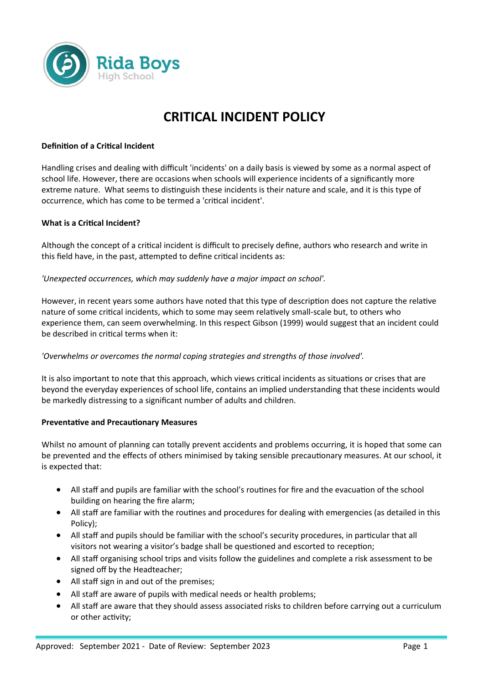

# **CRITICAL INCIDENT POLICY**

# **Definition of a Critical Incident**

Handling crises and dealing with difficult 'incidents' on a daily basis is viewed by some as a normal aspect of school life. However, there are occasions when schools will experience incidents of a significantly more extreme nature. What seems to distinguish these incidents is their nature and scale, and it is this type of occurrence, which has come to be termed a 'critical incident'.

# **What is a Critical Incident?**

Although the concept of a critical incident is difficult to precisely define, authors who research and write in this field have, in the past, attempted to define critical incidents as:

# *'Unexpected occurrences, which may suddenly have a major impact on school'.*

However, in recent years some authors have noted that this type of description does not capture the relative nature of some critical incidents, which to some may seem relatively small-scale but, to others who experience them, can seem overwhelming. In this respect Gibson (1999) would suggest that an incident could be described in critical terms when it:

# *'Overwhelms or overcomes the normal coping strategies and strengths of those involved'.*

It is also important to note that this approach, which views critical incidents as situations or crises that are beyond the everyday experiences of school life, contains an implied understanding that these incidents would be markedly distressing to a significant number of adults and children.

# **Preventative and Precautionary Measures**

Whilst no amount of planning can totally prevent accidents and problems occurring, it is hoped that some can be prevented and the effects of others minimised by taking sensible precautionary measures. At our school, it is expected that:

- All staff and pupils are familiar with the school's routines for fire and the evacuation of the school building on hearing the fire alarm;
- All staff are familiar with the routines and procedures for dealing with emergencies (as detailed in this Policy);
- All staff and pupils should be familiar with the school's security procedures, in particular that all visitors not wearing a visitor's badge shall be questioned and escorted to reception;
- All staff organising school trips and visits follow the guidelines and complete a risk assessment to be signed off by the Headteacher;
- All staff sign in and out of the premises;
- All staff are aware of pupils with medical needs or health problems;
- All staff are aware that they should assess associated risks to children before carrying out a curriculum or other activity;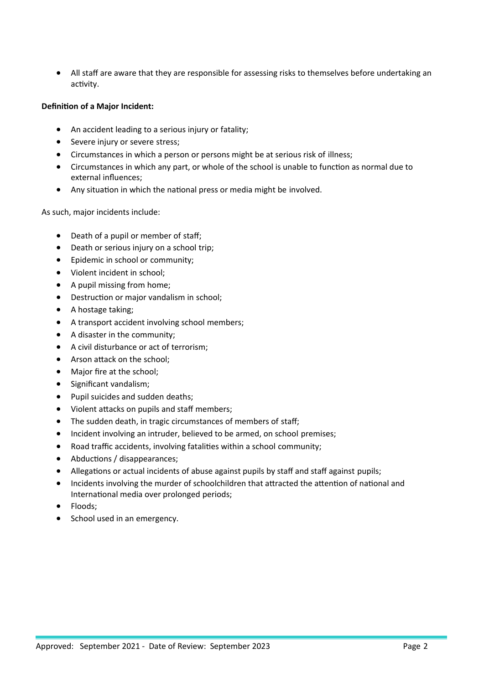All staff are aware that they are responsible for assessing risks to themselves before undertaking an activity.

# **Definition of a Major Incident:**

- An accident leading to a serious injury or fatality;
- Severe injury or severe stress;
- Circumstances in which a person or persons might be at serious risk of illness;
- Circumstances in which any part, or whole of the school is unable to function as normal due to external influences;
- Any situation in which the national press or media might be involved.

As such, major incidents include:

- Death of a pupil or member of staff;
- Death or serious injury on a school trip;
- **•** Epidemic in school or community;
- Violent incident in school;
- A pupil missing from home;
- Destruction or major vandalism in school;
- A hostage taking:
- A transport accident involving school members;
- A disaster in the community;
- A civil disturbance or act of terrorism;
- Arson attack on the school;
- Major fire at the school;
- Significant vandalism;
- Pupil suicides and sudden deaths;
- Violent attacks on pupils and staff members;
- The sudden death, in tragic circumstances of members of staff;
- Incident involving an intruder, believed to be armed, on school premises;
- Road traffic accidents, involving fatalities within a school community;
- Abductions / disappearances;
- Allegations or actual incidents of abuse against pupils by staff and staff against pupils;
- Incidents involving the murder of schoolchildren that attracted the attention of national and International media over prolonged periods;
- Floods;
- School used in an emergency.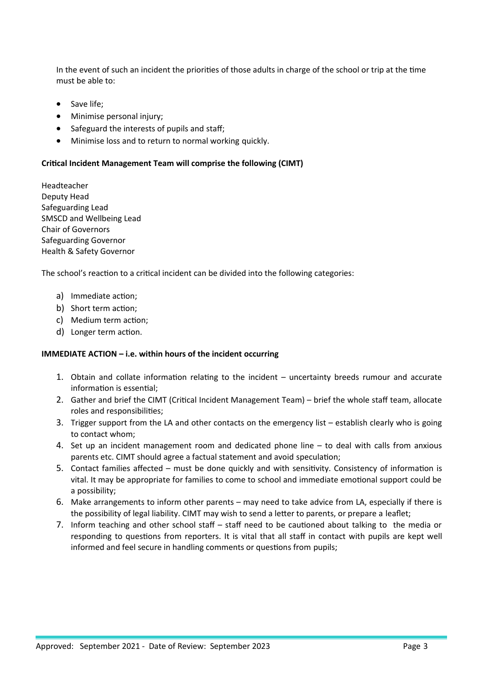In the event of such an incident the priorities of those adults in charge of the school or trip at the time must be able to:

- Save life;
- Minimise personal injury;
- Safeguard the interests of pupils and staff;
- Minimise loss and to return to normal working quickly.

#### **Critical Incident Management Team will comprise the following (CIMT)**

Headteacher Deputy Head Safeguarding Lead SMSCD and Wellbeing Lead Chair of Governors Safeguarding Governor Health & Safety Governor

The school's reaction to a critical incident can be divided into the following categories:

- a) Immediate action;
- b) Short term action;
- c) Medium term action;
- d) Longer term action.

#### **IMMEDIATE ACTION – i.e. within hours of the incident occurring**

- 1. Obtain and collate information relating to the incident uncertainty breeds rumour and accurate information is essential;
- 2. Gather and brief the CIMT (Critical Incident Management Team) brief the whole staff team, allocate roles and responsibilities;
- 3. Trigger support from the LA and other contacts on the emergency list establish clearly who is going to contact whom;
- 4. Set up an incident management room and dedicated phone line to deal with calls from anxious parents etc. CIMT should agree a factual statement and avoid speculation;
- 5. Contact families affected must be done quickly and with sensitivity. Consistency of information is vital. It may be appropriate for families to come to school and immediate emotional support could be a possibility;
- 6. Make arrangements to inform other parents may need to take advice from LA, especially if there is the possibility of legal liability. CIMT may wish to send a letter to parents, or prepare a leaflet;
- 7. Inform teaching and other school staff staff need to be cautioned about talking to the media or responding to questions from reporters. It is vital that all staff in contact with pupils are kept well informed and feel secure in handling comments or questions from pupils;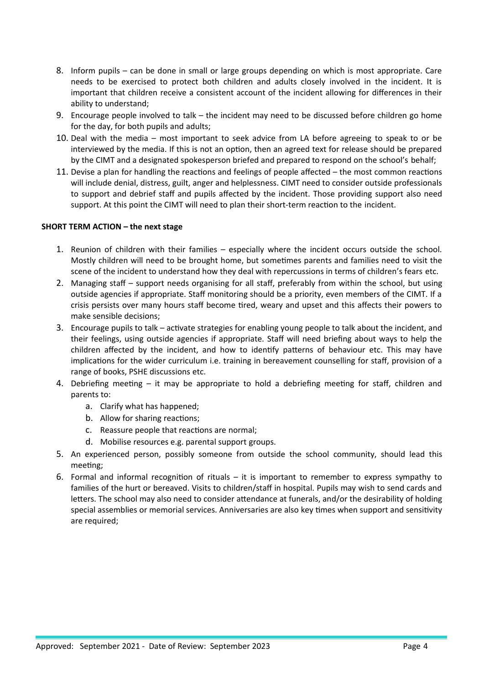- 8. Inform pupils can be done in small or large groups depending on which is most appropriate. Care needs to be exercised to protect both children and adults closely involved in the incident. It is important that children receive a consistent account of the incident allowing for differences in their ability to understand;
- 9. Encourage people involved to talk the incident may need to be discussed before children go home for the day, for both pupils and adults;
- 10. Deal with the media most important to seek advice from LA before agreeing to speak to or be interviewed by the media. If this is not an option, then an agreed text for release should be prepared by the CIMT and a designated spokesperson briefed and prepared to respond on the school's behalf;
- 11. Devise a plan for handling the reactions and feelings of people affected the most common reactions will include denial, distress, guilt, anger and helplessness. CIMT need to consider outside professionals to support and debrief staff and pupils affected by the incident. Those providing support also need support. At this point the CIMT will need to plan their short-term reaction to the incident.

# **SHORT TERM ACTION – the next stage**

- 1. Reunion of children with their families especially where the incident occurs outside the school. Mostly children will need to be brought home, but sometimes parents and families need to visit the scene of the incident to understand how they deal with repercussions in terms of children's fears etc.
- 2. Managing staff support needs organising for all staff, preferably from within the school, but using outside agencies if appropriate. Staff monitoring should be a priority, even members of the CIMT. If a crisis persists over many hours staff become tired, weary and upset and this affects their powers to make sensible decisions;
- 3. Encourage pupils to talk activate strategies for enabling young people to talk about the incident, and their feelings, using outside agencies if appropriate. Staff will need briefing about ways to help the children affected by the incident, and how to identify patterns of behaviour etc. This may have implications for the wider curriculum i.e. training in bereavement counselling for staff, provision of a range of books, PSHE discussions etc.
- 4. Debriefing meeting it may be appropriate to hold a debriefing meeting for staff, children and parents to:
	- a. Clarify what has happened;
	- b. Allow for sharing reactions;
	- c. Reassure people that reactions are normal;
	- d. Mobilise resources e.g. parental support groups.
- 5. An experienced person, possibly someone from outside the school community, should lead this meeting;
- 6. Formal and informal recognition of rituals it is important to remember to express sympathy to families of the hurt or bereaved. Visits to children/staff in hospital. Pupils may wish to send cards and letters. The school may also need to consider attendance at funerals, and/or the desirability of holding special assemblies or memorial services. Anniversaries are also key times when support and sensitivity are required;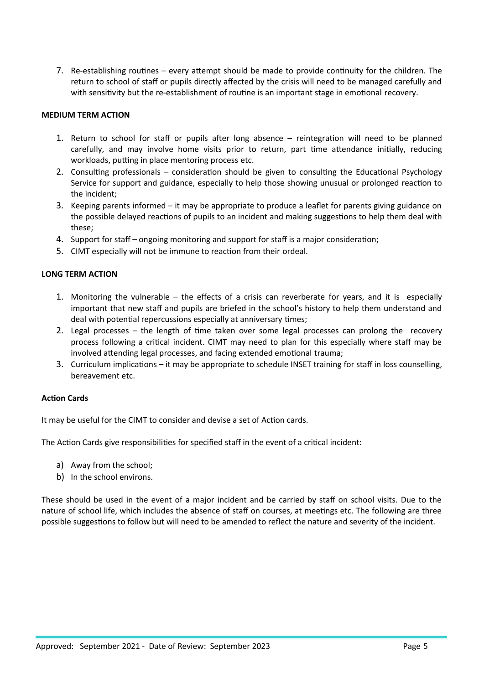7. Re-establishing routines – every attempt should be made to provide continuity for the children. The return to school of staff or pupils directly affected by the crisis will need to be managed carefully and with sensitivity but the re-establishment of routine is an important stage in emotional recovery.

# **MEDIUM TERM ACTION**

- 1. Return to school for staff or pupils after long absence reintegration will need to be planned carefully, and may involve home visits prior to return, part time attendance initially, reducing workloads, putting in place mentoring process etc.
- 2. Consulting professionals consideration should be given to consulting the Educational Psychology Service for support and guidance, especially to help those showing unusual or prolonged reaction to the incident;
- 3. Keeping parents informed it may be appropriate to produce a leaflet for parents giving guidance on the possible delayed reactions of pupils to an incident and making suggestions to help them deal with these;
- 4. Support for staff ongoing monitoring and support for staff is a major consideration;
- 5. CIMT especially will not be immune to reaction from their ordeal.

# **LONG TERM ACTION**

- 1. Monitoring the vulnerable the effects of a crisis can reverberate for years, and it is especially important that new staff and pupils are briefed in the school's history to help them understand and deal with potential repercussions especially at anniversary times;
- 2. Legal processes the length of time taken over some legal processes can prolong the recovery process following a critical incident. CIMT may need to plan for this especially where staff may be involved attending legal processes, and facing extended emotional trauma;
- 3. Curriculum implications it may be appropriate to schedule INSET training for staff in loss counselling, bereavement etc.

# **Action Cards**

It may be useful for the CIMT to consider and devise a set of Action cards.

The Action Cards give responsibilities for specified staff in the event of a critical incident:

- a) Away from the school;
- b) In the school environs.

These should be used in the event of a major incident and be carried by staff on school visits. Due to the nature of school life, which includes the absence of staff on courses, at meetings etc. The following are three possible suggestions to follow but will need to be amended to reflect the nature and severity of the incident.